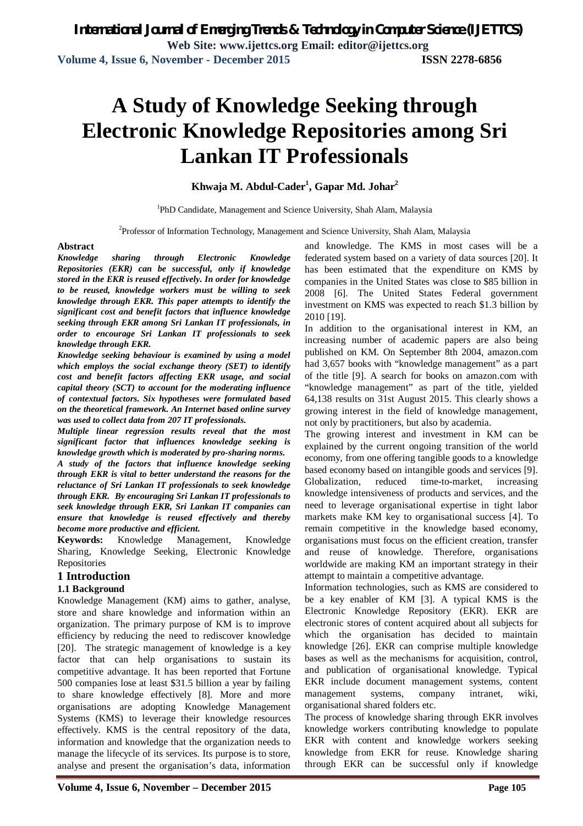# **A Study of Knowledge Seeking through Electronic Knowledge Repositories among Sri Lankan IT Professionals**

**Khwaja M. Abdul-Cader<sup>1</sup> , Gapar Md. Johar<sup>2</sup>**

<sup>1</sup>PhD Candidate, Management and Science University, Shah Alam, Malaysia

<sup>2</sup>Professor of Information Technology, Management and Science University, Shah Alam, Malaysia

#### **Abstract**

*Knowledge sharing through Electronic Knowledge Repositories (EKR) can be successful, only if knowledge stored in the EKR is reused effectively. In order for knowledge to be reused, knowledge workers must be willing to seek knowledge through EKR. This paper attempts to identify the significant cost and benefit factors that influence knowledge seeking through EKR among Sri Lankan IT professionals, in order to encourage Sri Lankan IT professionals to seek knowledge through EKR.*

*Knowledge seeking behaviour is examined by using a model which employs the social exchange theory (SET) to identify cost and benefit factors affecting EKR usage, and social capital theory (SCT) to account for the moderating influence of contextual factors. Six hypotheses were formulated based on the theoretical framework. An Internet based online survey was used to collect data from 207 IT professionals.* 

*Multiple linear regression results reveal that the most significant factor that influences knowledge seeking is knowledge growth which is moderated by pro-sharing norms.* 

*A study of the factors that influence knowledge seeking through EKR is vital to better understand the reasons for the reluctance of Sri Lankan IT professionals to seek knowledge through EKR. By encouraging Sri Lankan IT professionals to seek knowledge through EKR, Sri Lankan IT companies can ensure that knowledge is reused effectively and thereby become more productive and efficient.*

**Keywords:** Knowledge Management, Knowledge Sharing, Knowledge Seeking, Electronic Knowledge Repositories

### **1 Introduction**

#### **1.1 Background**

Knowledge Management (KM) aims to gather, analyse, store and share knowledge and information within an organization. The primary purpose of KM is to improve efficiency by reducing the need to rediscover knowledge [20]. The strategic management of knowledge is a key factor that can help organisations to sustain its competitive advantage. It has been reported that Fortune 500 companies lose at least \$31.5 billion a year by failing to share knowledge effectively [8]. More and more organisations are adopting Knowledge Management Systems (KMS) to leverage their knowledge resources effectively. KMS is the central repository of the data, information and knowledge that the organization needs to manage the lifecycle of its services. Its purpose is to store, analyse and present the organisation's data, information

and knowledge. The KMS in most cases will be a federated system based on a variety of data sources [20]. It has been estimated that the expenditure on KMS by companies in the United States was close to \$85 billion in 2008 [6]. The United States Federal government investment on KMS was expected to reach \$1.3 billion by 2010 [19].

In addition to the organisational interest in KM, an increasing number of academic papers are also being published on KM. On September 8th 2004, amazon.com had 3,657 books with "knowledge management" as a part of the title [9]. A search for books on amazon.com with "knowledge management" as part of the title, yielded 64,138 results on 31st August 2015. This clearly shows a growing interest in the field of knowledge management, not only by practitioners, but also by academia.

The growing interest and investment in KM can be explained by the current ongoing transition of the world economy, from one offering tangible goods to a knowledge based economy based on intangible goods and services [9]. Globalization, reduced time-to-market, increasing knowledge intensiveness of products and services, and the need to leverage organisational expertise in tight labor markets make KM key to organisational success [4]. To remain competitive in the knowledge based economy, organisations must focus on the efficient creation, transfer and reuse of knowledge. Therefore, organisations worldwide are making KM an important strategy in their attempt to maintain a competitive advantage.

Information technologies, such as KMS are considered to be a key enabler of KM [3]. A typical KMS is the Electronic Knowledge Repository (EKR). EKR are electronic stores of content acquired about all subjects for which the organisation has decided to maintain knowledge [26]. EKR can comprise multiple knowledge bases as well as the mechanisms for acquisition, control, and publication of organisational knowledge. Typical EKR include document management systems, content management systems, company intranet, wiki, organisational shared folders etc.

The process of knowledge sharing through EKR involves knowledge workers contributing knowledge to populate EKR with content and knowledge workers seeking knowledge from EKR for reuse. Knowledge sharing through EKR can be successful only if knowledge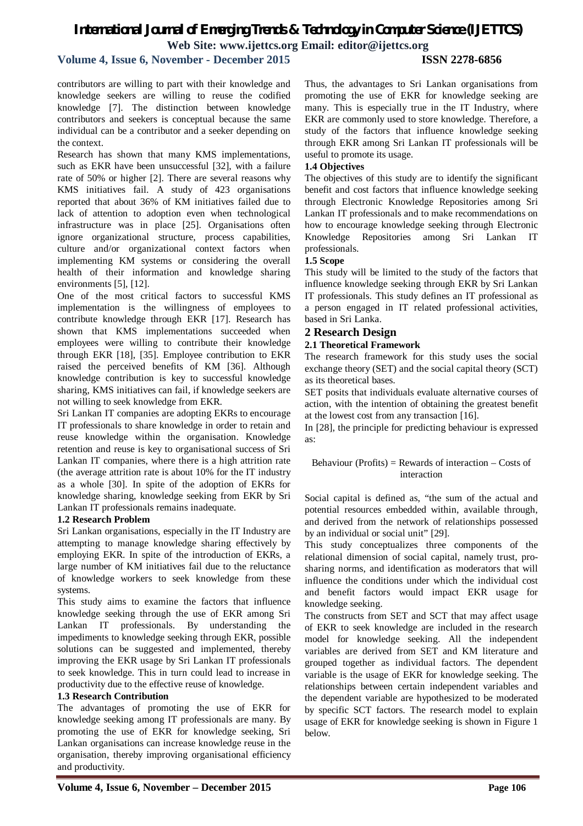#### **Volume 4, Issue 6, November - December 2015 ISSN 2278-6856**

contributors are willing to part with their knowledge and knowledge seekers are willing to reuse the codified knowledge [7]. The distinction between knowledge contributors and seekers is conceptual because the same individual can be a contributor and a seeker depending on the context.

Research has shown that many KMS implementations, such as EKR have been unsuccessful [32], with a failure rate of 50% or higher [2]. There are several reasons why KMS initiatives fail. A study of 423 organisations reported that about 36% of KM initiatives failed due to lack of attention to adoption even when technological infrastructure was in place [25]. Organisations often ignore organizational structure, process capabilities, culture and/or organizational context factors when implementing KM systems or considering the overall health of their information and knowledge sharing environments [5], [12].

One of the most critical factors to successful KMS implementation is the willingness of employees to contribute knowledge through EKR [17]. Research has shown that KMS implementations succeeded when employees were willing to contribute their knowledge through EKR [18], [35]. Employee contribution to EKR raised the perceived benefits of KM [36]. Although knowledge contribution is key to successful knowledge sharing, KMS initiatives can fail, if knowledge seekers are not willing to seek knowledge from EKR.

Sri Lankan IT companies are adopting EKRs to encourage IT professionals to share knowledge in order to retain and reuse knowledge within the organisation. Knowledge retention and reuse is key to organisational success of Sri Lankan IT companies, where there is a high attrition rate (the average attrition rate is about 10% for the IT industry as a whole [30]. In spite of the adoption of EKRs for knowledge sharing, knowledge seeking from EKR by Sri Lankan IT professionals remains inadequate.

#### **1.2 Research Problem**

Sri Lankan organisations, especially in the IT Industry are attempting to manage knowledge sharing effectively by employing EKR. In spite of the introduction of EKRs, a large number of KM initiatives fail due to the reluctance of knowledge workers to seek knowledge from these systems.

This study aims to examine the factors that influence knowledge seeking through the use of EKR among Sri Lankan IT professionals. By understanding the impediments to knowledge seeking through EKR, possible solutions can be suggested and implemented, thereby improving the EKR usage by Sri Lankan IT professionals to seek knowledge. This in turn could lead to increase in productivity due to the effective reuse of knowledge.

#### **1.3 Research Contribution**

The advantages of promoting the use of EKR for knowledge seeking among IT professionals are many. By promoting the use of EKR for knowledge seeking, Sri Lankan organisations can increase knowledge reuse in the organisation, thereby improving organisational efficiency and productivity.

Thus, the advantages to Sri Lankan organisations from promoting the use of EKR for knowledge seeking are many. This is especially true in the IT Industry, where EKR are commonly used to store knowledge. Therefore, a study of the factors that influence knowledge seeking through EKR among Sri Lankan IT professionals will be useful to promote its usage.

#### **1.4 Objectives**

The objectives of this study are to identify the significant benefit and cost factors that influence knowledge seeking through Electronic Knowledge Repositories among Sri Lankan IT professionals and to make recommendations on how to encourage knowledge seeking through Electronic Knowledge Repositories among Sri Lankan IT professionals.

#### **1.5 Scope**

This study will be limited to the study of the factors that influence knowledge seeking through EKR by Sri Lankan IT professionals. This study defines an IT professional as a person engaged in IT related professional activities, based in Sri Lanka.

#### **2 Research Design**

#### **2.1 Theoretical Framework**

The research framework for this study uses the social exchange theory (SET) and the social capital theory (SCT) as its theoretical bases.

SET posits that individuals evaluate alternative courses of action, with the intention of obtaining the greatest benefit at the lowest cost from any transaction [16].

In [28], the principle for predicting behaviour is expressed as:

#### Behaviour (Profits) = Rewards of interaction  $-$  Costs of interaction

Social capital is defined as, "the sum of the actual and potential resources embedded within, available through, and derived from the network of relationships possessed by an individual or social unit" [29].

This study conceptualizes three components of the relational dimension of social capital, namely trust, prosharing norms, and identification as moderators that will influence the conditions under which the individual cost and benefit factors would impact EKR usage for knowledge seeking.

The constructs from SET and SCT that may affect usage of EKR to seek knowledge are included in the research model for knowledge seeking. All the independent variables are derived from SET and KM literature and grouped together as individual factors. The dependent variable is the usage of EKR for knowledge seeking. The relationships between certain independent variables and the dependent variable are hypothesized to be moderated by specific SCT factors. The research model to explain usage of EKR for knowledge seeking is shown in Figure 1 below.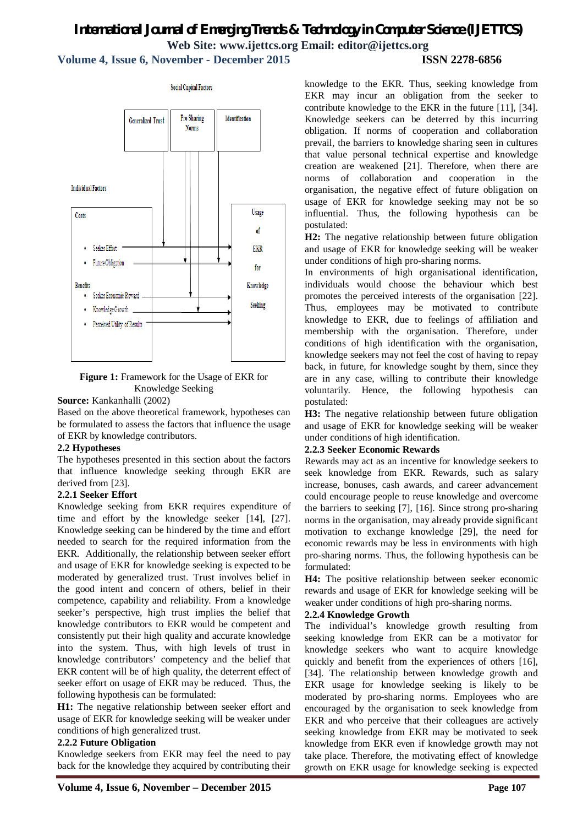## *International Journal of Emerging Trends & Technology in Computer Science (IJETTCS)* **Web Site: www.ijettcs.org Email: editor@ijettcs.org Volume 4, Issue 6, November - December 2015 ISSN 2278-6856**



**Figure 1:** Framework for the Usage of EKR for Knowledge Seeking

#### **Source:** Kankanhalli (2002)

Based on the above theoretical framework, hypotheses can be formulated to assess the factors that influence the usage of EKR by knowledge contributors.

#### **2.2 Hypotheses**

The hypotheses presented in this section about the factors that influence knowledge seeking through EKR are derived from [23].

#### **2.2.1 Seeker Effort**

Knowledge seeking from EKR requires expenditure of time and effort by the knowledge seeker [14], [27]. Knowledge seeking can be hindered by the time and effort needed to search for the required information from the EKR. Additionally, the relationship between seeker effort and usage of EKR for knowledge seeking is expected to be moderated by generalized trust. Trust involves belief in the good intent and concern of others, belief in their competence, capability and reliability. From a knowledge seeker's perspective, high trust implies the belief that knowledge contributors to EKR would be competent and consistently put their high quality and accurate knowledge into the system. Thus, with high levels of trust in knowledge contributors' competency and the belief that EKR content will be of high quality, the deterrent effect of seeker effort on usage of EKR may be reduced. Thus, the following hypothesis can be formulated:

**H1:** The negative relationship between seeker effort and usage of EKR for knowledge seeking will be weaker under conditions of high generalized trust.

#### **2.2.2 Future Obligation**

Knowledge seekers from EKR may feel the need to pay back for the knowledge they acquired by contributing their knowledge to the EKR. Thus, seeking knowledge from EKR may incur an obligation from the seeker to contribute knowledge to the EKR in the future [11], [34]. Knowledge seekers can be deterred by this incurring obligation. If norms of cooperation and collaboration prevail, the barriers to knowledge sharing seen in cultures that value personal technical expertise and knowledge creation are weakened [21]. Therefore, when there are norms of collaboration and cooperation in the organisation, the negative effect of future obligation on usage of EKR for knowledge seeking may not be so influential. Thus, the following hypothesis can be postulated:

**H2:** The negative relationship between future obligation and usage of EKR for knowledge seeking will be weaker under conditions of high pro-sharing norms.

In environments of high organisational identification, individuals would choose the behaviour which best promotes the perceived interests of the organisation [22]. Thus, employees may be motivated to contribute knowledge to EKR, due to feelings of affiliation and membership with the organisation. Therefore, under conditions of high identification with the organisation, knowledge seekers may not feel the cost of having to repay back, in future, for knowledge sought by them, since they are in any case, willing to contribute their knowledge voluntarily. Hence, the following hypothesis can postulated:

**H3:** The negative relationship between future obligation and usage of EKR for knowledge seeking will be weaker under conditions of high identification.

#### **2.2.3 Seeker Economic Rewards**

Rewards may act as an incentive for knowledge seekers to seek knowledge from EKR. Rewards, such as salary increase, bonuses, cash awards, and career advancement could encourage people to reuse knowledge and overcome the barriers to seeking [7], [16]. Since strong pro-sharing norms in the organisation, may already provide significant motivation to exchange knowledge [29], the need for economic rewards may be less in environments with high pro-sharing norms. Thus, the following hypothesis can be formulated:

**H4:** The positive relationship between seeker economic rewards and usage of EKR for knowledge seeking will be weaker under conditions of high pro-sharing norms.

#### **2.2.4 Knowledge Growth**

The individual's knowledge growth resulting from seeking knowledge from EKR can be a motivator for knowledge seekers who want to acquire knowledge quickly and benefit from the experiences of others [16], [34]. The relationship between knowledge growth and EKR usage for knowledge seeking is likely to be moderated by pro-sharing norms. Employees who are encouraged by the organisation to seek knowledge from EKR and who perceive that their colleagues are actively seeking knowledge from EKR may be motivated to seek knowledge from EKR even if knowledge growth may not take place. Therefore, the motivating effect of knowledge growth on EKR usage for knowledge seeking is expected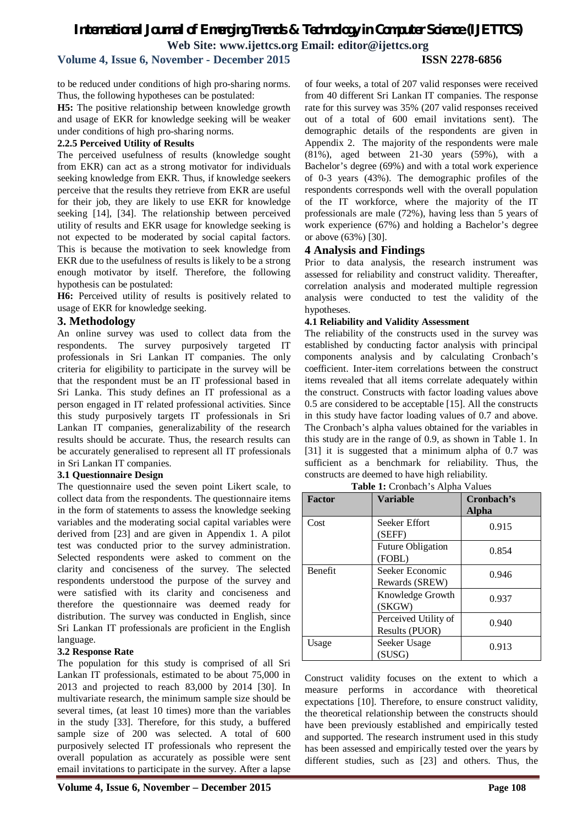#### **Volume 4, Issue 6, November - December 2015 ISSN 2278-6856**

to be reduced under conditions of high pro-sharing norms. Thus, the following hypotheses can be postulated:

**H5:** The positive relationship between knowledge growth and usage of EKR for knowledge seeking will be weaker under conditions of high pro-sharing norms.

#### **2.2.5 Perceived Utility of Results**

The perceived usefulness of results (knowledge sought from EKR) can act as a strong motivator for individuals seeking knowledge from EKR. Thus, if knowledge seekers perceive that the results they retrieve from EKR are useful for their job, they are likely to use EKR for knowledge seeking [14], [34]. The relationship between perceived utility of results and EKR usage for knowledge seeking is not expected to be moderated by social capital factors. This is because the motivation to seek knowledge from EKR due to the usefulness of results is likely to be a strong enough motivator by itself. Therefore, the following hypothesis can be postulated:

**H6:** Perceived utility of results is positively related to usage of EKR for knowledge seeking.

#### **3. Methodology**

An online survey was used to collect data from the respondents. The survey purposively targeted IT professionals in Sri Lankan IT companies. The only criteria for eligibility to participate in the survey will be that the respondent must be an IT professional based in Sri Lanka. This study defines an IT professional as a person engaged in IT related professional activities. Since this study purposively targets IT professionals in Sri Lankan IT companies, generalizability of the research results should be accurate. Thus, the research results can be accurately generalised to represent all IT professionals in Sri Lankan IT companies.

#### **3.1 Questionnaire Design**

The questionnaire used the seven point Likert scale, to collect data from the respondents. The questionnaire items in the form of statements to assess the knowledge seeking variables and the moderating social capital variables were derived from [23] and are given in Appendix 1. A pilot test was conducted prior to the survey administration. Selected respondents were asked to comment on the clarity and conciseness of the survey. The selected respondents understood the purpose of the survey and were satisfied with its clarity and conciseness and therefore the questionnaire was deemed ready for distribution. The survey was conducted in English, since Sri Lankan IT professionals are proficient in the English language.

#### **3.2 Response Rate**

The population for this study is comprised of all Sri Lankan IT professionals, estimated to be about 75,000 in 2013 and projected to reach 83,000 by 2014 [30]. In multivariate research, the minimum sample size should be several times, (at least 10 times) more than the variables in the study [33]. Therefore, for this study, a buffered sample size of 200 was selected. A total of 600 purposively selected IT professionals who represent the overall population as accurately as possible were sent email invitations to participate in the survey. After a lapse

of four weeks, a total of 207 valid responses were received from 40 different Sri Lankan IT companies. The response rate for this survey was 35% (207 valid responses received out of a total of 600 email invitations sent). The demographic details of the respondents are given in Appendix 2. The majority of the respondents were male (81%), aged between 21-30 years (59%), with a Bachelor's degree (69%) and with a total work experience of 0-3 years (43%). The demographic profiles of the respondents corresponds well with the overall population of the IT workforce, where the majority of the IT professionals are male (72%), having less than 5 years of work experience (67%) and holding a Bachelor's degree or above (63%) [30].

#### **4 Analysis and Findings**

Prior to data analysis, the research instrument was assessed for reliability and construct validity. Thereafter, correlation analysis and moderated multiple regression analysis were conducted to test the validity of the hypotheses.

#### **4.1 Reliability and Validity Assessment**

The reliability of the constructs used in the survey was established by conducting factor analysis with principal components analysis and by calculating Cronbach's coefficient. Inter-item correlations between the construct items revealed that all items correlate adequately within the construct. Constructs with factor loading values above 0.5 are considered to be acceptable [15]. All the constructs in this study have factor loading values of 0.7 and above. The Cronbach's alpha values obtained for the variables in this study are in the range of 0.9, as shown in Table 1. In [31] it is suggested that a minimum alpha of 0.7 was sufficient as a benchmark for reliability. Thus, the constructs are deemed to have high reliability.

| <b>Factor</b>  | <b>Variable</b>                        | Cronbach's<br>Alpha |
|----------------|----------------------------------------|---------------------|
| Cost           | Seeker Effort<br>(SEFF)                | 0.915               |
|                | <b>Future Obligation</b><br>(FOBL)     | 0.854               |
| <b>Benefit</b> | Seeker Economic<br>Rewards (SREW)      | 0.946               |
|                | Knowledge Growth<br>(SKGW)             | 0.937               |
|                | Perceived Utility of<br>Results (PUOR) | 0.940               |
| Usage          | Seeker Usage<br>(SUSG)                 | 0.913               |

**Table 1:** Cronbach's Alpha Values

Construct validity focuses on the extent to which a measure performs in accordance with theoretical expectations [10]. Therefore, to ensure construct validity, the theoretical relationship between the constructs should have been previously established and empirically tested and supported. The research instrument used in this study has been assessed and empirically tested over the years by different studies, such as [23] and others. Thus, the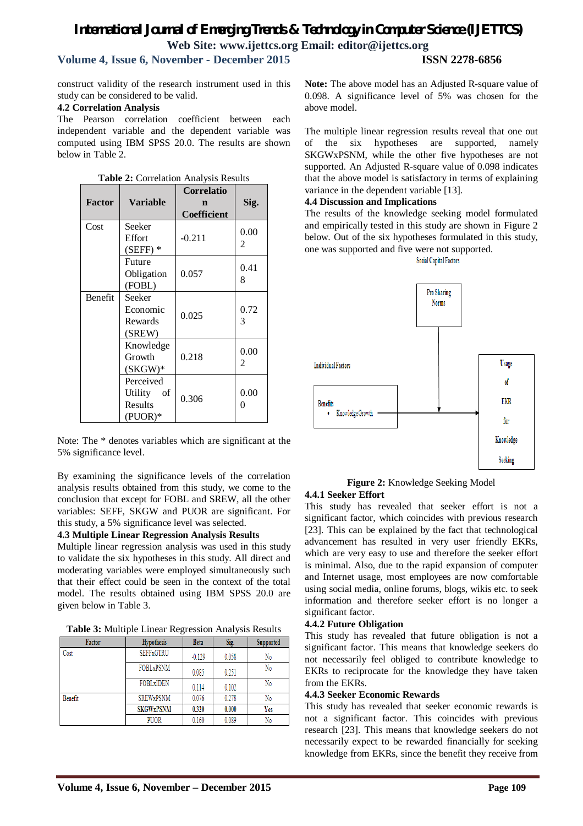## *International Journal of Emerging Trends & Technology in Computer Science (IJETTCS)* **Web Site: www.ijettcs.org Email: editor@ijettcs.org Volume 4, Issue 6, November - December 2015 ISSN 2278-6856**

construct validity of the research instrument used in this study can be considered to be valid.

#### **4.2 Correlation Analysis**

The Pearson correlation coefficient between each independent variable and the dependent variable was computed using IBM SPSS 20.0. The results are shown below in Table 2.

| <b>Factor</b>  | <b>Variable</b>                                    | <b>Correlatio</b><br>n<br><b>Coefficient</b> | Sig.      |
|----------------|----------------------------------------------------|----------------------------------------------|-----------|
| Cost           | Seeker<br>Effort<br>$(SEFF)$ *                     | $-0.211$                                     | 0.00<br>2 |
|                | Future<br>Obligation<br>(FOBL)                     | 0.057                                        | 0.41<br>8 |
| <b>Benefit</b> | Seeker<br>Economic<br>Rewards<br>(SREW)            | 0.025                                        | 0.72<br>3 |
|                | Knowledge<br>Growth<br>$(SKGW)^*$                  | 0.218                                        | 0.00<br>2 |
|                | Perceived<br>Utility<br>of<br>Results<br>$(PUOR)*$ | 0.306                                        | 0.00<br>0 |

**Table 2:** Correlation Analysis Results

Note: The \* denotes variables which are significant at the 5% significance level.

By examining the significance levels of the correlation analysis results obtained from this study, we come to the conclusion that except for FOBL and SREW, all the other variables: SEFF, SKGW and PUOR are significant. For this study, a 5% significance level was selected.

#### **4.3 Multiple Linear Regression Analysis Results**

Multiple linear regression analysis was used in this study to validate the six hypotheses in this study. All direct and moderating variables were employed simultaneously such that their effect could be seen in the context of the total model. The results obtained using IBM SPSS 20.0 are given below in Table 3.

**Table 3:** Multiple Linear Regression Analysis Results

| Factor  | <b>Hypothesis</b>      | <b>Beta</b> | Sig.  | Supported |
|---------|------------------------|-------------|-------|-----------|
| Cost    | <b>SEFFxGTRU</b>       | 0.129       | 0.058 | No        |
|         | FOBL <sub>x</sub> PSNM | 0.085       | 0.251 | No        |
|         | FOBL <sub>xIDEN</sub>  | 0.114       | 0.102 | No        |
| Benefit | <b>SREWxPSNM</b>       | 0.076       | 0.278 | No        |
|         | <b>SKGWxPSNM</b>       | 0.320       | 0.000 | Yes       |
|         | <b>PUOR</b>            | 0.160       | 0.089 | No        |

**Note:** The above model has an Adjusted R-square value of 0.098. A significance level of 5% was chosen for the above model.

The multiple linear regression results reveal that one out of the six hypotheses are supported, namely SKGWxPSNM, while the other five hypotheses are not supported. An Adjusted R-square value of 0.098 indicates that the above model is satisfactory in terms of explaining variance in the dependent variable [13].

#### **4.4 Discussion and Implications**

The results of the knowledge seeking model formulated and empirically tested in this study are shown in Figure 2 below. Out of the six hypotheses formulated in this study, one was supported and five were not supported.

**Social Capital Factors** 



**Figure 2:** Knowledge Seeking Model **4.4.1 Seeker Effort**

This study has revealed that seeker effort is not a significant factor, which coincides with previous research [23]. This can be explained by the fact that technological advancement has resulted in very user friendly EKRs, which are very easy to use and therefore the seeker effort is minimal. Also, due to the rapid expansion of computer and Internet usage, most employees are now comfortable using social media, online forums, blogs, wikis etc. to seek information and therefore seeker effort is no longer a significant factor.

#### **4.4.2 Future Obligation**

This study has revealed that future obligation is not a significant factor. This means that knowledge seekers do not necessarily feel obliged to contribute knowledge to EKRs to reciprocate for the knowledge they have taken from the EKRs.

#### **4.4.3 Seeker Economic Rewards**

This study has revealed that seeker economic rewards is not a significant factor. This coincides with previous research [23]. This means that knowledge seekers do not necessarily expect to be rewarded financially for seeking knowledge from EKRs, since the benefit they receive from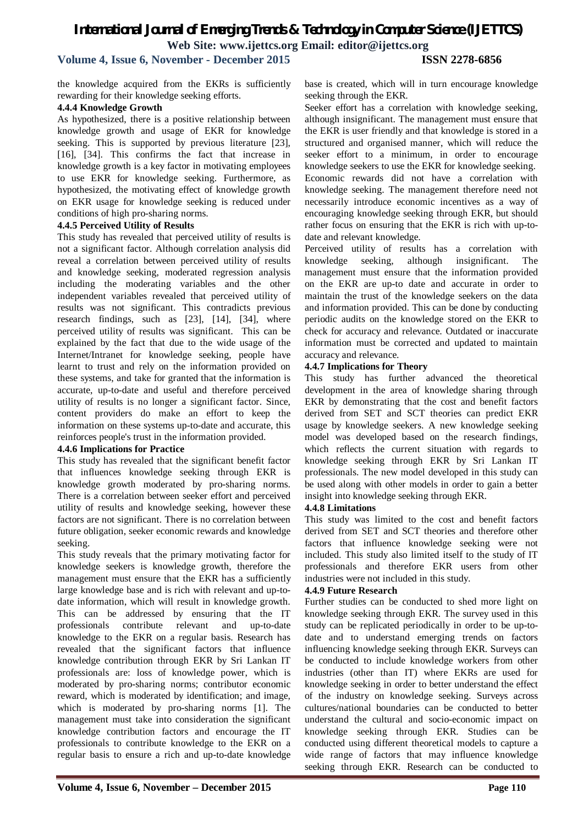### **Volume 4, Issue 6, November - December 2015 ISSN 2278-6856**

the knowledge acquired from the EKRs is sufficiently rewarding for their knowledge seeking efforts.

#### **4.4.4 Knowledge Growth**

As hypothesized, there is a positive relationship between knowledge growth and usage of EKR for knowledge seeking. This is supported by previous literature [23], [16], [34]. This confirms the fact that increase in knowledge growth is a key factor in motivating employees to use EKR for knowledge seeking. Furthermore, as hypothesized, the motivating effect of knowledge growth on EKR usage for knowledge seeking is reduced under conditions of high pro-sharing norms.

#### **4.4.5 Perceived Utility of Results**

This study has revealed that perceived utility of results is not a significant factor. Although correlation analysis did reveal a correlation between perceived utility of results and knowledge seeking, moderated regression analysis including the moderating variables and the other independent variables revealed that perceived utility of results was not significant. This contradicts previous research findings, such as [23], [14], [34], where perceived utility of results was significant. This can be explained by the fact that due to the wide usage of the Internet/Intranet for knowledge seeking, people have learnt to trust and rely on the information provided on these systems, and take for granted that the information is accurate, up-to-date and useful and therefore perceived utility of results is no longer a significant factor. Since, content providers do make an effort to keep the information on these systems up-to-date and accurate, this reinforces people's trust in the information provided.

#### **4.4.6 Implications for Practice**

This study has revealed that the significant benefit factor that influences knowledge seeking through EKR is knowledge growth moderated by pro-sharing norms. There is a correlation between seeker effort and perceived utility of results and knowledge seeking, however these factors are not significant. There is no correlation between future obligation, seeker economic rewards and knowledge seeking.

This study reveals that the primary motivating factor for knowledge seekers is knowledge growth, therefore the management must ensure that the EKR has a sufficiently large knowledge base and is rich with relevant and up-todate information, which will result in knowledge growth. This can be addressed by ensuring that the IT professionals contribute relevant and up-to-date knowledge to the EKR on a regular basis. Research has revealed that the significant factors that influence knowledge contribution through EKR by Sri Lankan IT professionals are: loss of knowledge power, which is moderated by pro-sharing norms; contributor economic reward, which is moderated by identification; and image, which is moderated by pro-sharing norms [1]. The management must take into consideration the significant knowledge contribution factors and encourage the IT professionals to contribute knowledge to the EKR on a regular basis to ensure a rich and up-to-date knowledge base is created, which will in turn encourage knowledge seeking through the EKR.

Seeker effort has a correlation with knowledge seeking, although insignificant. The management must ensure that the EKR is user friendly and that knowledge is stored in a structured and organised manner, which will reduce the seeker effort to a minimum, in order to encourage knowledge seekers to use the EKR for knowledge seeking. Economic rewards did not have a correlation with knowledge seeking. The management therefore need not necessarily introduce economic incentives as a way of encouraging knowledge seeking through EKR, but should rather focus on ensuring that the EKR is rich with up-todate and relevant knowledge.

Perceived utility of results has a correlation with knowledge seeking, although insignificant. The management must ensure that the information provided on the EKR are up-to date and accurate in order to maintain the trust of the knowledge seekers on the data and information provided. This can be done by conducting periodic audits on the knowledge stored on the EKR to check for accuracy and relevance. Outdated or inaccurate information must be corrected and updated to maintain accuracy and relevance.

#### **4.4.7 Implications for Theory**

This study has further advanced the theoretical development in the area of knowledge sharing through EKR by demonstrating that the cost and benefit factors derived from SET and SCT theories can predict EKR usage by knowledge seekers. A new knowledge seeking model was developed based on the research findings, which reflects the current situation with regards to knowledge seeking through EKR by Sri Lankan IT professionals. The new model developed in this study can be used along with other models in order to gain a better insight into knowledge seeking through EKR.

#### **4.4.8 Limitations**

This study was limited to the cost and benefit factors derived from SET and SCT theories and therefore other factors that influence knowledge seeking were not included. This study also limited itself to the study of IT professionals and therefore EKR users from other industries were not included in this study.

#### **4.4.9 Future Research**

Further studies can be conducted to shed more light on knowledge seeking through EKR. The survey used in this study can be replicated periodically in order to be up-todate and to understand emerging trends on factors influencing knowledge seeking through EKR. Surveys can be conducted to include knowledge workers from other industries (other than IT) where EKRs are used for knowledge seeking in order to better understand the effect of the industry on knowledge seeking. Surveys across cultures/national boundaries can be conducted to better understand the cultural and socio-economic impact on knowledge seeking through EKR. Studies can be conducted using different theoretical models to capture a wide range of factors that may influence knowledge seeking through EKR. Research can be conducted to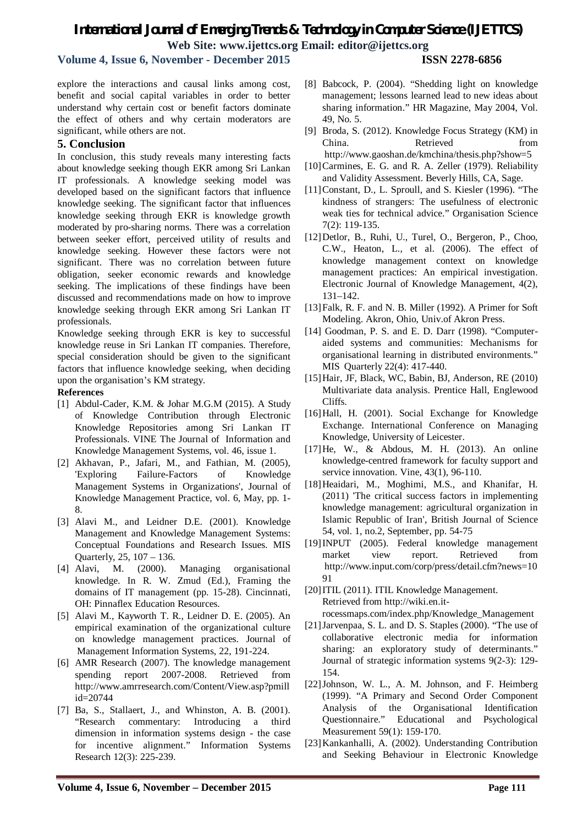### **Volume 4, Issue 6, November - December 2015 ISSN 2278-6856**

explore the interactions and causal links among cost, benefit and social capital variables in order to better understand why certain cost or benefit factors dominate the effect of others and why certain moderators are significant, while others are not.

#### **5. Conclusion**

In conclusion, this study reveals many interesting facts about knowledge seeking though EKR among Sri Lankan IT professionals. A knowledge seeking model was developed based on the significant factors that influence knowledge seeking. The significant factor that influences knowledge seeking through EKR is knowledge growth moderated by pro-sharing norms. There was a correlation between seeker effort, perceived utility of results and knowledge seeking. However these factors were not significant. There was no correlation between future obligation, seeker economic rewards and knowledge seeking. The implications of these findings have been discussed and recommendations made on how to improve knowledge seeking through EKR among Sri Lankan IT professionals.

Knowledge seeking through EKR is key to successful knowledge reuse in Sri Lankan IT companies. Therefore, special consideration should be given to the significant factors that influence knowledge seeking, when deciding upon the organisation's KM strategy.

#### **References**

- [1] Abdul-Cader, K.M. & Johar M.G.M (2015). A Study of Knowledge Contribution through Electronic Knowledge Repositories among Sri Lankan IT Professionals. VINE The Journal of Information and Knowledge Management Systems, vol. 46, issue 1.
- [2] Akhavan, P., Jafari, M., and Fathian, M. (2005), 'Exploring Failure-Factors of Knowledge Management Systems in Organizations', Journal of Knowledge Management Practice, vol. 6, May, pp. 1- 8.
- [3] Alavi M., and Leidner D.E. (2001). Knowledge Management and Knowledge Management Systems: Conceptual Foundations and Research Issues. MIS Quarterly, 25, 107 – 136.
- [4] Alavi, M. (2000). Managing organisational knowledge. In R. W. Zmud (Ed.), Framing the domains of IT management (pp. 15-28). Cincinnati, OH: Pinnaflex Education Resources.
- [5] Alavi M., Kayworth T. R., Leidner D. E. (2005). An empirical examination of the organizational culture on knowledge management practices. Journal of Management Information Systems, 22, 191-224.
- [6] AMR Research (2007). The knowledge management spending report 2007-2008. Retrieved from http://www.amrresearch.com/Content/View.asp?pmill id=20744
- [7] Ba, S., Stallaert, J., and Whinston, A. B. (2001). "Research commentary: Introducing a third dimension in information systems design - the case for incentive alignment." Information Systems Research 12(3): 225-239.
- [8] Babcock, P. (2004). "Shedding light on knowledge management; lessons learned lead to new ideas about sharing information." HR Magazine, May 2004, Vol. 49, No. 5.
- [9] Broda, S. (2012). Knowledge Focus Strategy (KM) in China. Retrieved from http://www.gaoshan.de/kmchina/thesis.php?show=5
- [10]Carmines, E. G. and R. A. Zeller (1979). Reliability and Validity Assessment. Beverly Hills, CA, Sage.
- [11]Constant, D., L. Sproull, and S. Kiesler (1996). "The kindness of strangers: The usefulness of electronic weak ties for technical advice." Organisation Science 7(2): 119-135.
- [12]Detlor, B., Ruhi, U., Turel, O., Bergeron, P., Choo, C.W., Heaton, L., et al. (2006). The effect of knowledge management context on knowledge management practices: An empirical investigation. Electronic Journal of Knowledge Management, 4(2), 131–142.
- [13]Falk, R. F. and N. B. Miller (1992). A Primer for Soft Modeling. Akron, Ohio, Univ.of Akron Press.
- [14] Goodman, P. S. and E. D. Darr (1998). "Computeraided systems and communities: Mechanisms for organisational learning in distributed environments." MIS Quarterly 22(4): 417-440.
- [15]Hair, JF, Black, WC, Babin, BJ, Anderson, RE (2010) Multivariate data analysis. Prentice Hall, Englewood Cliffs.
- [16]Hall, H. (2001). Social Exchange for Knowledge Exchange. International Conference on Managing Knowledge, University of Leicester.
- [17]He, W., & Abdous, M. H. (2013). An online knowledge-centred framework for faculty support and service innovation. Vine, 43(1), 96-110.
- [18]Heaidari, M., Moghimi, M.S., and Khanifar, H. (2011) 'The critical success factors in implementing knowledge management: agricultural organization in Islamic Republic of Iran', British Journal of Science 54, vol. 1, no.2, September, pp. 54-75
- [19]INPUT (2005). Federal knowledge management market view report. Retrieved from http://www.input.com/corp/press/detail.cfm?news=10 91

[20]ITIL (2011). ITIL Knowledge Management. Retrieved from http://wiki.en.itrocessmaps.com/index.php/Knowledge\_Management

- [21]Jarvenpaa, S. L. and D. S. Staples (2000). "The use of collaborative electronic media for information sharing: an exploratory study of determinants." Journal of strategic information systems 9(2-3): 129- 154.
- [22]Johnson, W. L., A. M. Johnson, and F. Heimberg (1999). "A Primary and Second Order Component Analysis of the Organisational Identification Questionnaire." Educational and Psychological Measurement 59(1): 159-170.
- [23]Kankanhalli, A. (2002). Understanding Contribution and Seeking Behaviour in Electronic Knowledge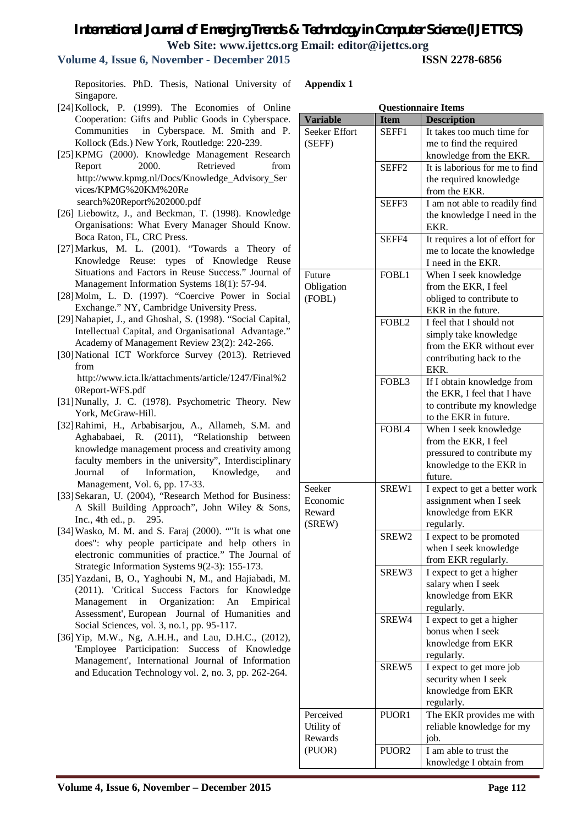#### **Volume 4, Issue 6, November - December 2015 ISSN 2278-6856**

Repositories. PhD. Thesis, National University of Singapore.

- [24] Kollock, P. (1999). The Economies of Online Cooperation: Gifts and Public Goods in Cyberspace. Communities in Cyberspace. M. Smith and P. Kollock (Eds.) New York, Routledge: 220-239.
- [25]KPMG (2000). Knowledge Management Research Report 2000. Retrieved from http://www.kpmg.nl/Docs/Knowledge\_Advisory\_Ser vices/KPMG%20KM%20Re search%20Report%202000.pdf
- [26] Liebowitz, J., and Beckman, T. (1998). Knowledge Organisations: What Every Manager Should Know. Boca Raton, FL, CRC Press.
- [27]Markus, M. L. (2001). "Towards a Theory of Knowledge Reuse: types of Knowledge Reuse Situations and Factors in Reuse Success." Journal of Management Information Systems 18(1): 57-94.
- [28]Molm, L. D. (1997). "Coercive Power in Social Exchange." NY, Cambridge University Press.
- [29]Nahapiet, J., and Ghoshal, S. (1998). "Social Capital, Intellectual Capital, and Organisational Advantage." Academy of Management Review 23(2): 242-266.
- [30]National ICT Workforce Survey (2013). Retrieved from http://www.icta.lk/attachments/article/1247/Final%2
- 0Report-WFS.pdf [31]Nunally, J. C. (1978). Psychometric Theory. New York, McGraw-Hill.
- [32]Rahimi, H., Arbabisarjou, A., Allameh, S.M. and Aghababaei, R. (2011), "Relationship between knowledge management process and creativity among faculty members in the university", Interdisciplinary Journal of Information, Knowledge, and Management, Vol. 6, pp. 17-33.
- [33]Sekaran, U. (2004), "Research Method for Business: A Skill Building Approach", John Wiley & Sons, Inc., 4th ed., p. 295.
- [34]Wasko, M. M. and S. Faraj (2000). ""It is what one does": why people participate and help others in electronic communities of practice." The Journal of Strategic Information Systems 9(2-3): 155-173.
- [35]Yazdani, B, O., Yaghoubi N, M., and Hajiabadi, M. (2011). 'Critical Success Factors for Knowledge Management in Organization: An Empirical Assessment', European Journal of Humanities and Social Sciences, vol. 3, no.1, pp. 95-117.
- [36]Yip, M.W., Ng, A.H.H., and Lau, D.H.C., (2012), 'Employee Participation: Success of Knowledge Management', International Journal of Information and Education Technology vol. 2, no. 3, pp. 262-264.

**Appendix 1**

|                                        |                   | <b>Questionnaire Items</b>                                                                                         |
|----------------------------------------|-------------------|--------------------------------------------------------------------------------------------------------------------|
| <b>Variable</b>                        | <b>Item</b>       | <b>Description</b>                                                                                                 |
| Seeker Effort<br>(SEFF)                | SEFF1             | It takes too much time for<br>me to find the required<br>knowledge from the EKR.                                   |
|                                        | SEFF <sub>2</sub> | It is laborious for me to find<br>the required knowledge<br>from the EKR.                                          |
|                                        | SEFF3             | I am not able to readily find<br>the knowledge I need in the<br>EKR.                                               |
|                                        | SEFF4             | It requires a lot of effort for<br>me to locate the knowledge<br>I need in the EKR.                                |
| Future<br>Obligation<br>(FOBL)         | FOBL1             | When I seek knowledge<br>from the EKR, I feel<br>obliged to contribute to<br>EKR in the future.                    |
|                                        | FOBL2             | I feel that I should not<br>simply take knowledge<br>from the EKR without ever<br>contributing back to the<br>EKR. |
|                                        | FOBL3             | If I obtain knowledge from<br>the EKR, I feel that I have<br>to contribute my knowledge<br>to the EKR in future.   |
|                                        | FOBL4             | When I seek knowledge<br>from the EKR, I feel<br>pressured to contribute my<br>knowledge to the EKR in<br>future.  |
| Seeker<br>Economic<br>Reward<br>(SREW) | SREW1             | I expect to get a better work<br>assignment when I seek<br>knowledge from EKR<br>regularly.                        |
|                                        | SREW2             | I expect to be promoted<br>when I seek knowledge<br>from EKR regularly.                                            |
|                                        | SREW3             | I expect to get a higher<br>salary when I seek<br>knowledge from EKR<br>regularly.                                 |
|                                        | SREW4             | I expect to get a higher<br>bonus when I seek<br>knowledge from EKR<br>regularly.                                  |
|                                        | SREW <sub>5</sub> | I expect to get more job<br>security when I seek<br>knowledge from EKR<br>regularly.                               |
| Perceived<br>Utility of<br>Rewards     | PUOR <sub>1</sub> | The EKR provides me with<br>reliable knowledge for my<br>job.                                                      |
| (PUOR)                                 | PUOR <sub>2</sub> | I am able to trust the<br>knowledge I obtain from                                                                  |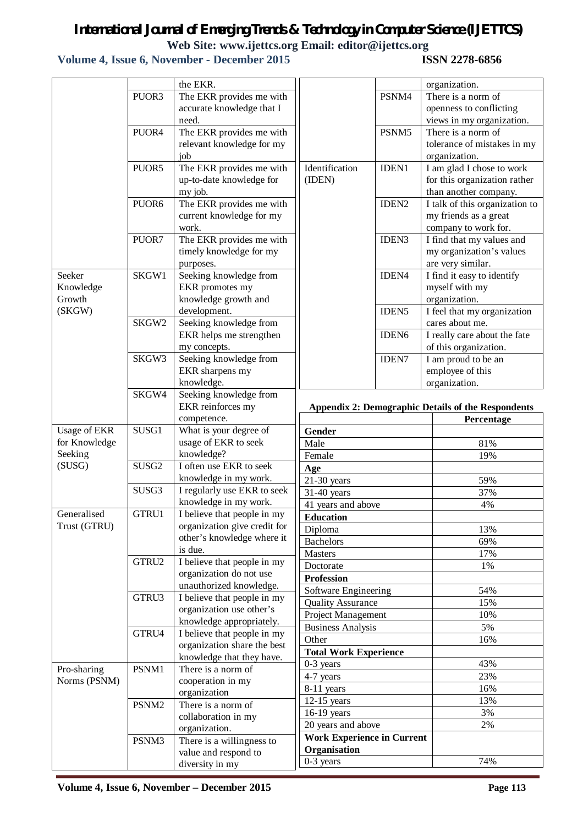## *International Journal of Emerging Trends & Technology in Computer Science (IJETTCS)*

**Web Site: www.ijettcs.org Email: editor@ijettcs.org** 

## **Volume 4, Issue 6, November - December 2015**

|                     |                   | the EKR.                                               |                                   |                   | organization.                                             |
|---------------------|-------------------|--------------------------------------------------------|-----------------------------------|-------------------|-----------------------------------------------------------|
|                     | PUOR3             | The EKR provides me with                               |                                   | PSNM4             | There is a norm of                                        |
|                     |                   | accurate knowledge that I                              |                                   |                   | openness to conflicting                                   |
|                     |                   | need.                                                  |                                   |                   | views in my organization.                                 |
|                     | PUOR4             | The EKR provides me with                               |                                   | PSNM5             | There is a norm of                                        |
|                     |                   | relevant knowledge for my                              |                                   |                   | tolerance of mistakes in my                               |
|                     |                   | job                                                    |                                   |                   | organization.                                             |
|                     | PUOR5             | The EKR provides me with                               | Identification                    | IDEN1             | I am glad I chose to work                                 |
|                     |                   | up-to-date knowledge for                               | (IDEN)                            |                   | for this organization rather                              |
|                     |                   | my job.                                                |                                   |                   | than another company.                                     |
|                     | PUOR6             | The EKR provides me with                               |                                   | IDEN <sub>2</sub> | I talk of this organization to                            |
|                     |                   | current knowledge for my                               |                                   |                   | my friends as a great                                     |
|                     |                   | work.                                                  |                                   |                   | company to work for.                                      |
|                     | PUOR7             | The EKR provides me with                               |                                   | IDEN3             | I find that my values and                                 |
|                     |                   | timely knowledge for my                                |                                   |                   | my organization's values                                  |
|                     |                   | purposes.                                              |                                   |                   | are very similar.                                         |
| Seeker              | SKGW1             | Seeking knowledge from                                 |                                   | IDEN4             | I find it easy to identify                                |
| Knowledge           |                   | EKR promotes my                                        |                                   |                   | myself with my                                            |
| Growth              |                   | knowledge growth and                                   |                                   |                   | organization.                                             |
| (SKGW)              |                   | development.                                           |                                   | IDEN <sub>5</sub> | I feel that my organization                               |
|                     | SKGW2             | Seeking knowledge from                                 |                                   |                   | cares about me.                                           |
|                     |                   | EKR helps me strengthen                                |                                   | IDEN <sub>6</sub> | I really care about the fate                              |
|                     |                   | my concepts.                                           |                                   |                   | of this organization.                                     |
|                     | SKGW3             | Seeking knowledge from                                 |                                   | <b>IDEN7</b>      | I am proud to be an                                       |
|                     |                   | EKR sharpens my                                        |                                   |                   | employee of this                                          |
|                     |                   | knowledge.                                             |                                   |                   | organization.                                             |
|                     | SKGW4             | Seeking knowledge from                                 |                                   |                   |                                                           |
|                     |                   | EKR reinforces my                                      |                                   |                   | <b>Appendix 2: Demographic Details of the Respondents</b> |
|                     |                   |                                                        |                                   |                   |                                                           |
|                     |                   | competence.                                            |                                   |                   | Percentage                                                |
| <b>Usage of EKR</b> | SUSG1             | What is your degree of                                 | Gender                            |                   |                                                           |
| for Knowledge       |                   | usage of EKR to seek                                   | Male                              |                   | 81%                                                       |
| Seeking             |                   | knowledge?                                             | Female                            |                   | 19%                                                       |
| (SUSG)              | SUSG <sub>2</sub> | I often use EKR to seek                                | Age                               |                   |                                                           |
|                     |                   | knowledge in my work.                                  | $21-30$ years                     |                   | 59%                                                       |
|                     | SUSG3             | I regularly use EKR to seek                            | 31-40 years                       |                   | 37%                                                       |
|                     |                   | knowledge in my work.                                  | 41 years and above                |                   | 4%                                                        |
| Generalised         | GTRU1             | I believe that people in my                            | Education                         |                   |                                                           |
| Trust (GTRU)        |                   | organization give credit for                           | Diploma                           |                   | 13%                                                       |
|                     |                   | other's knowledge where it                             | <b>Bachelors</b>                  |                   | 69%                                                       |
|                     |                   | is due.                                                | Masters                           |                   | 17%                                                       |
|                     | GTRU2             | I believe that people in my                            | Doctorate                         |                   | 1%                                                        |
|                     |                   | organization do not use                                | <b>Profession</b>                 |                   |                                                           |
|                     | GTRU3             | unauthorized knowledge.<br>I believe that people in my | Software Engineering              |                   | 54%                                                       |
|                     |                   | organization use other's                               | <b>Quality Assurance</b>          |                   | 15%                                                       |
|                     |                   | knowledge appropriately.                               | Project Management                |                   | 10%                                                       |
|                     | GTRU4             | I believe that people in my                            | <b>Business Analysis</b>          |                   | 5%                                                        |
|                     |                   | organization share the best                            | Other                             |                   | 16%                                                       |
|                     |                   | knowledge that they have.                              | <b>Total Work Experience</b>      |                   |                                                           |
| Pro-sharing         | PSNM1             | There is a norm of                                     | $0-3$ years                       |                   | 43%                                                       |
| Norms (PSNM)        |                   | cooperation in my                                      | 4-7 years                         |                   | 23%                                                       |
|                     |                   | organization                                           | 8-11 years                        |                   | 16%                                                       |
|                     | PSNM2             | There is a norm of                                     | $12-15$ years                     |                   | 13%                                                       |
|                     |                   | collaboration in my                                    | 16-19 years                       |                   | 3%                                                        |
|                     |                   | organization.                                          | 20 years and above                |                   | 2%                                                        |
|                     | PSNM3             | There is a willingness to                              | <b>Work Experience in Current</b> |                   |                                                           |
|                     |                   | value and respond to<br>diversity in my                | Organisation<br>0-3 years         |                   | 74%                                                       |